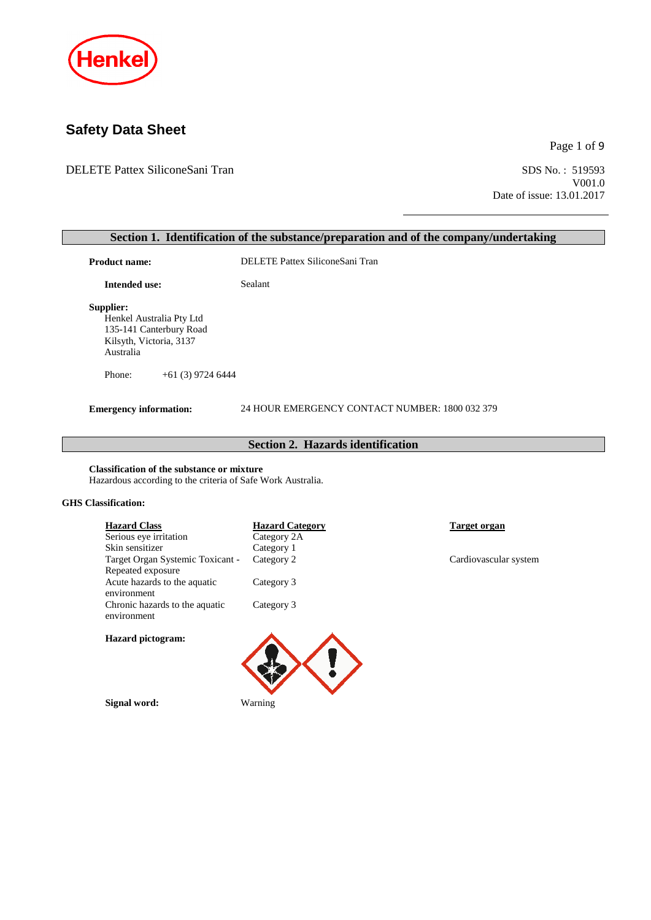

# **Safety Data Sheet**

DELETE Pattex SiliconeSani Tran

Page 1 of 9

SDS No.: 519593<br>V001.0 Date of issue: 13.01.2017

| <b>Product name:</b>                                                                                                                               | DELETE Pattex SiliconeSani Tran                |                       |
|----------------------------------------------------------------------------------------------------------------------------------------------------|------------------------------------------------|-----------------------|
| <b>Intended use:</b>                                                                                                                               | Sealant                                        |                       |
| Supplier:<br>Henkel Australia Pty Ltd<br>135-141 Canterbury Road<br>Kilsyth, Victoria, 3137<br>Australia                                           |                                                |                       |
| Phone:<br>$+61(3)$ 9724 6444                                                                                                                       |                                                |                       |
| <b>Emergency information:</b>                                                                                                                      | 24 HOUR EMERGENCY CONTACT NUMBER: 1800 032 379 |                       |
|                                                                                                                                                    | <b>Section 2. Hazards identification</b>       |                       |
| <b>Classification of the substance or mixture</b>                                                                                                  |                                                |                       |
|                                                                                                                                                    |                                                |                       |
| <b>Hazard Class</b><br>Serious eye irritation<br>Skin sensitizer                                                                                   | <b>Hazard Category</b><br>Category 2A          | <b>Target organ</b>   |
| Hazardous according to the criteria of Safe Work Australia.<br><b>GHS</b> Classification:<br>Target Organ Systemic Toxicant -<br>Repeated exposure | Category 1<br>Category 2                       | Cardiovascular system |

**Hazard pictogram:**



**Signal word:** Warning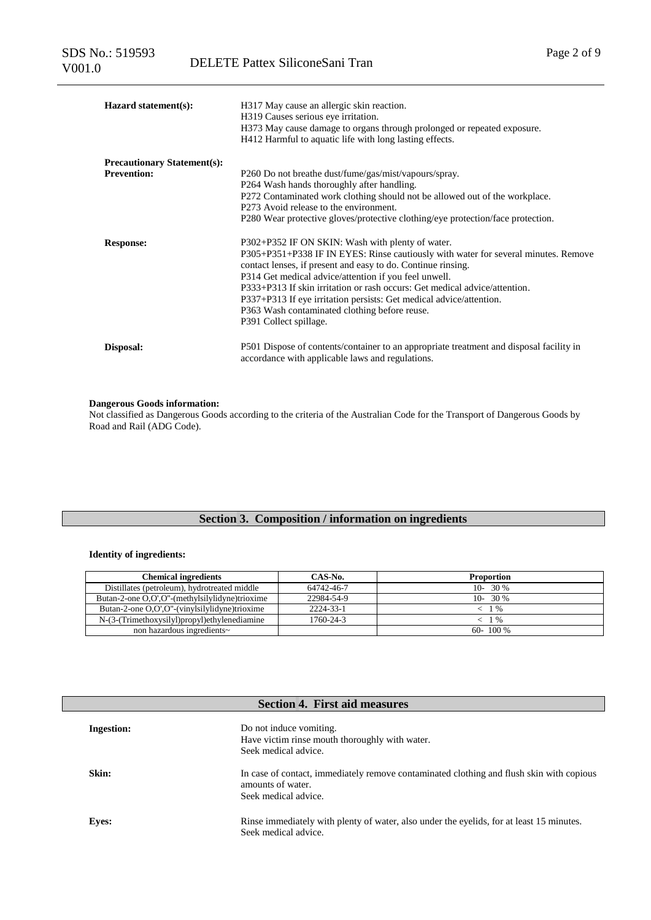| Hazard statement(s):               | H317 May cause an allergic skin reaction.<br>H319 Causes serious eye irritation.<br>H373 May cause damage to organs through prolonged or repeated exposure.<br>H412 Harmful to aquatic life with long lasting effects.                                                                                                                                                                                                                                                                          |
|------------------------------------|-------------------------------------------------------------------------------------------------------------------------------------------------------------------------------------------------------------------------------------------------------------------------------------------------------------------------------------------------------------------------------------------------------------------------------------------------------------------------------------------------|
| <b>Precautionary Statement(s):</b> |                                                                                                                                                                                                                                                                                                                                                                                                                                                                                                 |
| <b>Prevention:</b>                 | P260 Do not breathe dust/fume/gas/mist/vapours/spray.<br>P264 Wash hands thoroughly after handling.<br>P272 Contaminated work clothing should not be allowed out of the workplace.<br>P273 Avoid release to the environment.<br>P280 Wear protective gloves/protective clothing/eye protection/face protection.                                                                                                                                                                                 |
| <b>Response:</b>                   | P302+P352 IF ON SKIN: Wash with plenty of water.<br>P305+P351+P338 IF IN EYES: Rinse cautiously with water for several minutes. Remove<br>contact lenses, if present and easy to do. Continue rinsing.<br>P314 Get medical advice/attention if you feel unwell.<br>P333+P313 If skin irritation or rash occurs: Get medical advice/attention.<br>P337+P313 If eye irritation persists: Get medical advice/attention.<br>P363 Wash contaminated clothing before reuse.<br>P391 Collect spillage. |
| Disposal:                          | P501 Dispose of contents/container to an appropriate treatment and disposal facility in<br>accordance with applicable laws and regulations.                                                                                                                                                                                                                                                                                                                                                     |

#### **Dangerous Goods information:**

Not classified as Dangerous Goods according to the criteria of the Australian Code for the Transport of Dangerous Goods by Road and Rail (ADG Code).

# **Section 3. Composition / information on ingredients**

#### **Identity of ingredients:**

| <b>Chemical ingredients</b>                     | CAS-No.    | <b>Proportion</b> |
|-------------------------------------------------|------------|-------------------|
| Distillates (petroleum), hydrotreated middle    | 64742-46-7 | $10 - 30\%$       |
| Butan-2-one O,O',O''-(methylsilylidyne)trioxime | 22984-54-9 | $10-30\%$         |
| Butan-2-one O,O',O''-(vinylsilylidyne)trioxime  | 2224-33-1  | $1\%$             |
| N-(3-(Trimethoxysilyl)propyl)ethylenediamine    | 1760-24-3  | $1\%$             |
| non hazardous ingredients~                      |            | $60 - 100\%$      |

| <b>Section 4. First aid measures</b> |                                                                                                                                       |  |
|--------------------------------------|---------------------------------------------------------------------------------------------------------------------------------------|--|
| <b>Ingestion:</b>                    | Do not induce vomiting.<br>Have victim rinse mouth thoroughly with water.<br>Seek medical advice.                                     |  |
| Skin:                                | In case of contact, immediately remove contaminated clothing and flush skin with copious<br>amounts of water.<br>Seek medical advice. |  |
| <b>Eyes:</b>                         | Rinse immediately with plenty of water, also under the eyelids, for at least 15 minutes.<br>Seek medical advice.                      |  |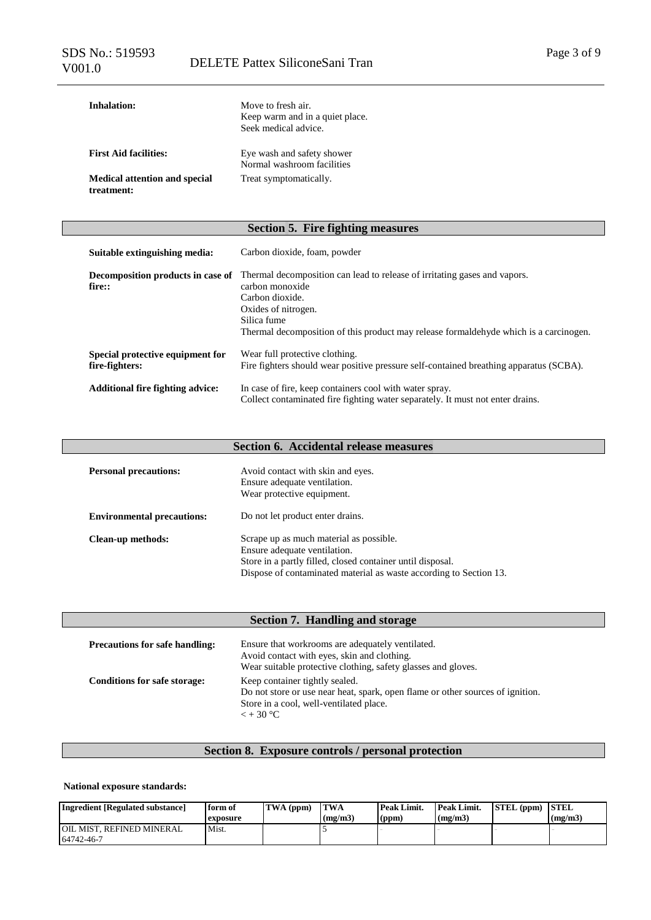| Inhalation:                                        | Move to fresh air.<br>Keep warm and in a quiet place.<br>Seek medical advice. |
|----------------------------------------------------|-------------------------------------------------------------------------------|
| <b>First Aid facilities:</b>                       | Eye wash and safety shower<br>Normal washroom facilities                      |
| <b>Medical attention and special</b><br>treatment: | Treat symptomatically.                                                        |

### **Section 5. Fire fighting measures**

| Suitable extinguishing media:                      | Carbon dioxide, foam, powder                                                                                                                                                                                                                     |
|----------------------------------------------------|--------------------------------------------------------------------------------------------------------------------------------------------------------------------------------------------------------------------------------------------------|
| Decomposition products in case of<br>fire::        | Thermal decomposition can lead to release of irritating gases and vapors.<br>carbon monoxide<br>Carbon dioxide.<br>Oxides of nitrogen.<br>Silica fume<br>Thermal decomposition of this product may release formal deliver which is a carcinogen. |
| Special protective equipment for<br>fire-fighters: | Wear full protective clothing.<br>Fire fighters should wear positive pressure self-contained breathing apparatus (SCBA).                                                                                                                         |
| <b>Additional fire fighting advice:</b>            | In case of fire, keep containers cool with water spray.<br>Collect contaminated fire fighting water separately. It must not enter drains.                                                                                                        |

# **Section 6. Accidental release measures**

| <b>Personal precautions:</b>      | Avoid contact with skin and eyes.<br>Ensure adequate ventilation.<br>Wear protective equipment.                                                                                                             |
|-----------------------------------|-------------------------------------------------------------------------------------------------------------------------------------------------------------------------------------------------------------|
| <b>Environmental precautions:</b> | Do not let product enter drains.                                                                                                                                                                            |
| Clean-up methods:                 | Scrape up as much material as possible.<br>Ensure adequate ventilation.<br>Store in a partly filled, closed container until disposal.<br>Dispose of contaminated material as waste according to Section 13. |

| Section 7. Handling and storage       |                                                                                                                                                                                   |  |
|---------------------------------------|-----------------------------------------------------------------------------------------------------------------------------------------------------------------------------------|--|
| <b>Precautions for safe handling:</b> | Ensure that workrooms are adequately ventilated.<br>Avoid contact with eyes, skin and clothing.<br>Wear suitable protective clothing, safety glasses and gloves.                  |  |
| <b>Conditions for safe storage:</b>   | Keep container tightly sealed.<br>Do not store or use near heat, spark, open flame or other sources of ignition.<br>Store in a cool, well-ventilated place.<br>$\epsilon$ + 30 °C |  |

# **Section 8. Exposure controls / personal protection**

#### **National exposure standards:**

| <b>Ingredient [Regulated substance]</b>        | form of<br>exposure | $TWA$ (ppm) | <b>TWA</b><br>(mg/m3) | Peak Limit.<br>(ppm) | Peak Limit.<br>(mg/m3) | <b>STEL (ppm) STEL</b> | (mg/m3) |
|------------------------------------------------|---------------------|-------------|-----------------------|----------------------|------------------------|------------------------|---------|
| <b>OIL MIST. REFINED MINERAL</b><br>64742-46-7 | Mist.               |             |                       |                      |                        |                        |         |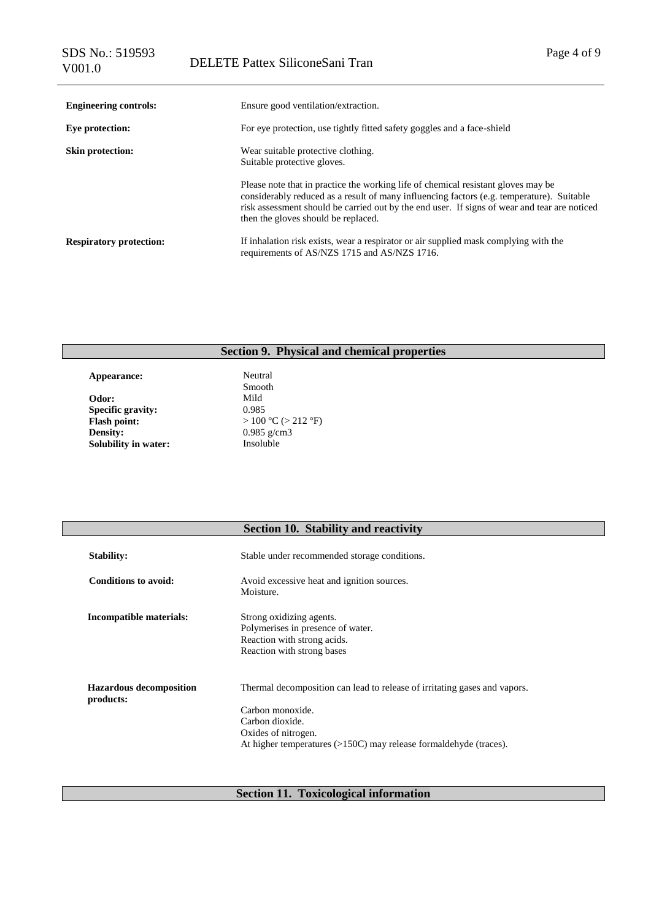| <b>Engineering controls:</b>   | Ensure good ventilation/extraction.                                                                                                                                                                                                                                                                                   |
|--------------------------------|-----------------------------------------------------------------------------------------------------------------------------------------------------------------------------------------------------------------------------------------------------------------------------------------------------------------------|
| Eye protection:                | For eye protection, use tightly fitted safety goggles and a face-shield                                                                                                                                                                                                                                               |
| <b>Skin protection:</b>        | Wear suitable protective clothing.<br>Suitable protective gloves.                                                                                                                                                                                                                                                     |
|                                | Please note that in practice the working life of chemical resistant gloves may be<br>considerably reduced as a result of many influencing factors (e.g. temperature). Suitable<br>risk assessment should be carried out by the end user. If signs of wear and tear are noticed<br>then the gloves should be replaced. |
| <b>Respiratory protection:</b> | If inhalation risk exists, wear a respirator or air supplied mask complying with the<br>requirements of AS/NZS 1715 and AS/NZS 1716.                                                                                                                                                                                  |

# **Section 9. Physical and chemical properties**

Appearance: Neutral **Odor:** Mild **Specific gravity:** 0.985 **Flash point:** > 100 °C (> 212 °F)<br>Density: 0.985 g/cm3 **Solubility in water:** 

Smooth 0.985 g/cm3<br>Insoluble

|                                             | <b>Section 10. Stability and reactivity</b>                                                                                                                                                                     |
|---------------------------------------------|-----------------------------------------------------------------------------------------------------------------------------------------------------------------------------------------------------------------|
| <b>Stability:</b>                           | Stable under recommended storage conditions.                                                                                                                                                                    |
| <b>Conditions to avoid:</b>                 | Avoid excessive heat and ignition sources.<br>Moisture.                                                                                                                                                         |
| Incompatible materials:                     | Strong oxidizing agents.<br>Polymerises in presence of water.<br>Reaction with strong acids.<br>Reaction with strong bases                                                                                      |
| <b>Hazardous decomposition</b><br>products: | Thermal decomposition can lead to release of irritating gases and vapors.<br>Carbon monoxide.<br>Carbon dioxide.<br>Oxides of nitrogen.<br>At higher temperatures $(>150C)$ may release formal dehyde (traces). |

# **Section 11. Toxicological information**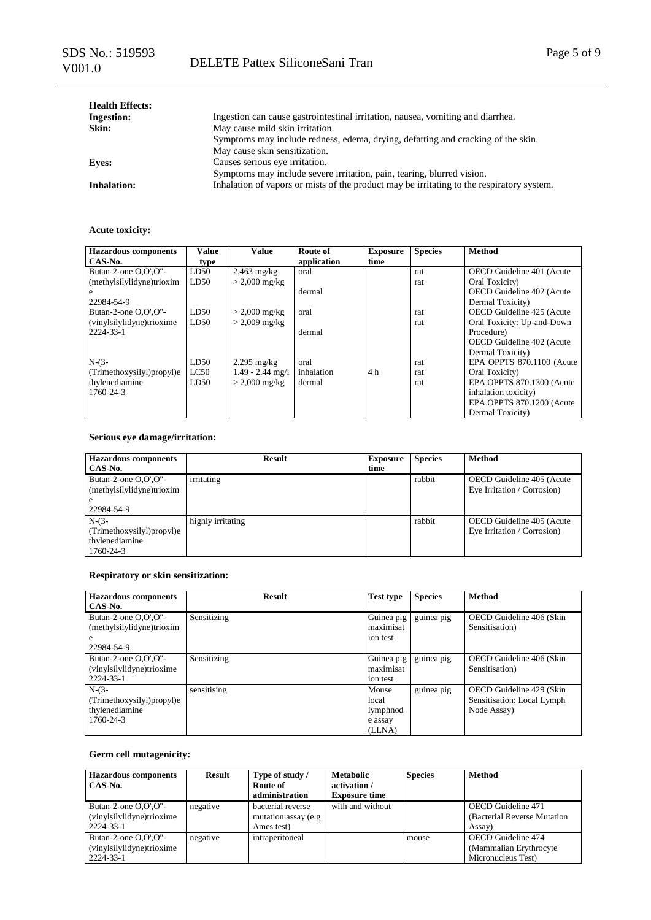| <b>Health Effects:</b> |                                                                                           |
|------------------------|-------------------------------------------------------------------------------------------|
| <b>Ingestion:</b>      | Ingestion can cause gastrointestinal irritation, nausea, vomiting and diarrhea.           |
| Skin:                  | May cause mild skin irritation.                                                           |
|                        | Symptoms may include redness, edema, drying, defatting and cracking of the skin.          |
|                        | May cause skin sensitization.                                                             |
| <b>Eves:</b>           | Causes serious eye irritation.                                                            |
|                        | Symptoms may include severe irritation, pain, tearing, blurred vision.                    |
| <b>Inhalation:</b>     | Inhalation of vapors or mists of the product may be irritating to the respiratory system. |

#### **Acute toxicity:**

| <b>Hazardous</b> components | <b>Value</b> | <b>Value</b>            | Route of    | <b>Exposure</b> | <b>Species</b> | <b>Method</b>              |
|-----------------------------|--------------|-------------------------|-------------|-----------------|----------------|----------------------------|
| CAS-No.                     | type         |                         | application | time            |                |                            |
| Butan-2-one O.O'.O"-        | LD50         | $2,463$ mg/kg           | oral        |                 | rat            | OECD Guideline 401 (Acute) |
| (methylsilylidyne)trioxim   | LD50         | $> 2,000 \text{ mg/kg}$ |             |                 | rat            | Oral Toxicity)             |
| e                           |              |                         | dermal      |                 |                | OECD Guideline 402 (Acute  |
| 22984-54-9                  |              |                         |             |                 |                | Dermal Toxicity)           |
| Butan-2-one O,O',O"-        | LD50         | $> 2,000 \text{ mg/kg}$ | oral        |                 | rat            | OECD Guideline 425 (Acute  |
| (vinylsilylidyne)trioxime   | LD50         | $> 2,009$ mg/kg         |             |                 | rat            | Oral Toxicity: Up-and-Down |
| 2224-33-1                   |              |                         | dermal      |                 |                | Procedure)                 |
|                             |              |                         |             |                 |                | OECD Guideline 402 (Acute  |
|                             |              |                         |             |                 |                | Dermal Toxicity)           |
| $N-(3-$                     | LD50         | $2,295$ mg/kg           | oral        |                 | rat            | EPA OPPTS 870.1100 (Acute  |
| (Trimethoxysilyl)propyl)e   | LC50         | $1.49 - 2.44$ mg/l      | inhalation  | 4 h             | rat            | Oral Toxicity)             |
| thylenediamine              | LD50         | $> 2,000 \text{ mg/kg}$ | dermal      |                 | rat            | EPA OPPTS 870.1300 (Acute  |
| 1760-24-3                   |              |                         |             |                 |                | inhalation toxicity)       |
|                             |              |                         |             |                 |                | EPA OPPTS 870.1200 (Acute  |
|                             |              |                         |             |                 |                | Dermal Toxicity)           |

#### **Serious eye damage/irritation:**

| <b>Hazardous</b> components<br>CAS-No. | <b>Result</b>     | <b>Exposure</b><br>time | <b>Species</b> | <b>Method</b>               |
|----------------------------------------|-------------------|-------------------------|----------------|-----------------------------|
|                                        |                   |                         |                |                             |
| Butan-2-one $O.O'.O''-$                | irritating        |                         | rabbit         | OECD Guideline 405 (Acute   |
| (methylsilylidyne)trioxim              |                   |                         |                | Eye Irritation / Corrosion) |
| e                                      |                   |                         |                |                             |
| 22984-54-9                             |                   |                         |                |                             |
| $N-(3-$                                | highly irritating |                         | rabbit         | OECD Guideline 405 (Acute   |
| (Trimethoxysilyl)propyl)e              |                   |                         |                | Eye Irritation / Corrosion) |
| thylenediamine                         |                   |                         |                |                             |
| 1760-24-3                              |                   |                         |                |                             |

### **Respiratory or skin sensitization:**

| <b>Hazardous components</b> | <b>Result</b> | <b>Test type</b> | <b>Species</b> | Method                     |
|-----------------------------|---------------|------------------|----------------|----------------------------|
| CAS-No.                     |               |                  |                |                            |
| Butan-2-one O,O',O"-        | Sensitizing   | Guinea pig       | guinea pig     | OECD Guideline 406 (Skin   |
| (methylsilylidyne)trioxim   |               | maximisat        |                | Sensitisation)             |
| e                           |               | ion test         |                |                            |
| 22984-54-9                  |               |                  |                |                            |
| Butan-2-one O,O',O"-        | Sensitizing   | Guinea pig       | guinea pig     | OECD Guideline 406 (Skin   |
| (vinylsilylidyne)trioxime   |               | maximisat        |                | Sensitisation)             |
| 2224-33-1                   |               | ion test         |                |                            |
| $N-(3-$                     | sensitising   | Mouse            | guinea pig     | OECD Guideline 429 (Skin   |
| (Trimethoxysilyl)propyl)e   |               | local            |                | Sensitisation: Local Lymph |
| thylenediamine              |               | lymphnod         |                | Node Assay)                |
| 1760-24-3                   |               | e assay          |                |                            |
|                             |               | (LLNA)           |                |                            |

#### **Germ cell mutagenicity:**

| <b>Hazardous components</b><br>CAS-No.                            | <b>Result</b> | Type of study /<br>Route of<br>administration           | <b>Metabolic</b><br>activation /<br><b>Exposure time</b> | <b>Species</b> | <b>Method</b>                                                       |
|-------------------------------------------------------------------|---------------|---------------------------------------------------------|----------------------------------------------------------|----------------|---------------------------------------------------------------------|
| Butan-2-one $O.O'.O''-$<br>(vinylsilylidyne)trioxime<br>2224-33-1 | negative      | bacterial reverse<br>mutation assay (e.g.<br>Ames test) | with and without                                         |                | <b>OECD</b> Guideline 471<br>(Bacterial Reverse Mutation)<br>Assay) |
| Butan-2-one $O.O'.O''-$<br>(vinylsilylidyne)trioxime<br>2224-33-1 | negative      | intraperitoneal                                         |                                                          | mouse          | OECD Guideline 474<br>(Mammalian Erythrocyte)<br>Micronucleus Test) |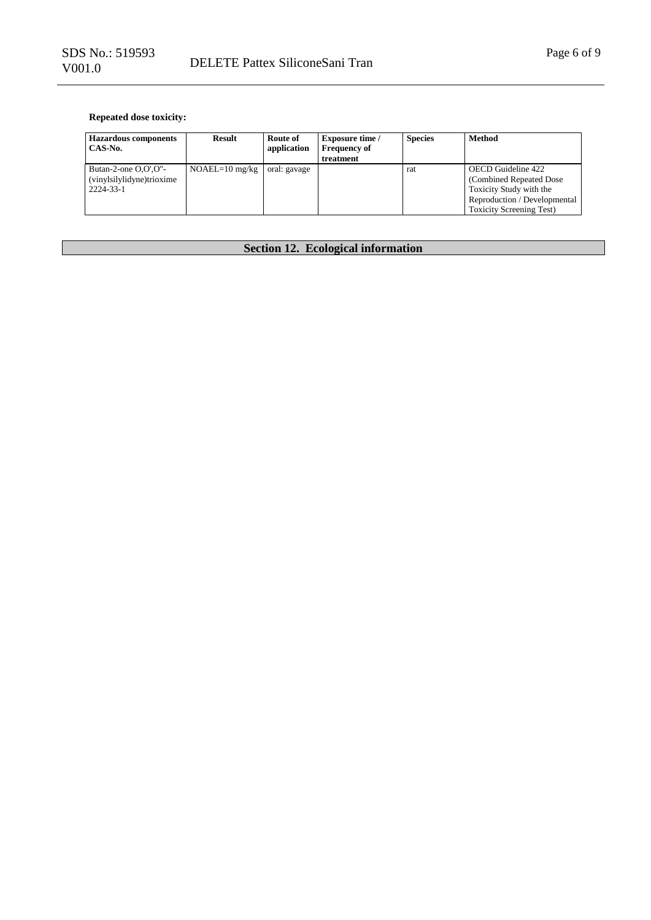### **Repeated dose toxicity:**

| <b>Hazardous components</b><br>CAS-No.                            | Result           | Route of<br>application | <b>Exposure time</b> /<br><b>Frequency of</b><br>treatment | <b>Species</b> | <b>Method</b>                                                                                                                                |
|-------------------------------------------------------------------|------------------|-------------------------|------------------------------------------------------------|----------------|----------------------------------------------------------------------------------------------------------------------------------------------|
| Butan-2-one $O.O'.O''-$<br>(vinylsilylidyne)trioxime<br>2224-33-1 | $NOAEL=10$ mg/kg | oral: gavage            |                                                            | rat            | OECD Guideline 422<br>(Combined Repeated Dose)<br>Toxicity Study with the<br>Reproduction / Developmental<br><b>Toxicity Screening Test)</b> |

# **Section 12. Ecological information**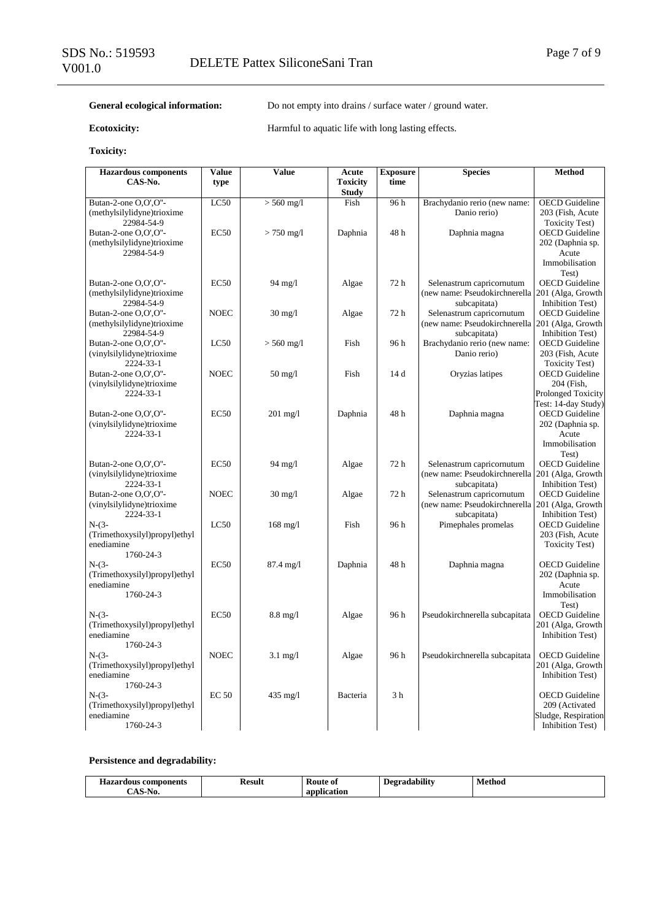#### General ecological information: Do not empty into drains / surface water / ground water.

**Ecotoxicity:** Harmful to aquatic life with long lasting effects.

#### **Toxicity:**

| <b>Hazardous components</b>                       | Value        | Value               | Acute                           | <b>Exposure</b> | <b>Species</b>                                                                 | Method                                    |
|---------------------------------------------------|--------------|---------------------|---------------------------------|-----------------|--------------------------------------------------------------------------------|-------------------------------------------|
| CAS-No.                                           | type         |                     | <b>Toxicity</b><br><b>Study</b> | time            |                                                                                |                                           |
| Butan-2-one O,O',O"-                              | LC50         | $> 560$ mg/l        | Fish                            | 96h             | Brachydanio rerio (new name:                                                   | <b>OECD</b> Guideline                     |
| (methylsilylidyne)trioxime                        |              |                     |                                 |                 | Danio rerio)                                                                   | 203 (Fish, Acute                          |
| 22984-54-9                                        |              |                     |                                 |                 |                                                                                | <b>Toxicity Test)</b>                     |
| Butan-2-one O,O',O"-                              | EC50         | $> 750$ mg/l        | Daphnia                         | 48h             | Daphnia magna                                                                  | <b>OECD</b> Guideline                     |
| (methylsilylidyne)trioxime                        |              |                     |                                 |                 |                                                                                | 202 (Daphnia sp.                          |
| 22984-54-9                                        |              |                     |                                 |                 |                                                                                | Acute                                     |
|                                                   |              |                     |                                 |                 |                                                                                | Immobilisation                            |
|                                                   |              |                     |                                 |                 |                                                                                | Test)                                     |
| Butan-2-one O,O',O"-                              | EC50         | 94 mg/l             | Algae                           | 72h             | Selenastrum capricornutum                                                      | <b>OECD</b> Guideline                     |
| (methylsilylidyne)trioxime                        |              |                     |                                 |                 | (new name: Pseudokirchnerella   201 (Alga, Growth                              |                                           |
| 22984-54-9<br>Butan-2-one O,O',O"-                | <b>NOEC</b>  | $30 \text{ mg}/1$   | Algae                           | 72 h            | subcapitata)<br>Selenastrum capricornutum                                      | Inhibition Test)<br><b>OECD</b> Guideline |
| (methylsilylidyne)trioxime                        |              |                     |                                 |                 | (new name: Pseudokirchnerella 201 (Alga, Growth                                |                                           |
| 22984-54-9                                        |              |                     |                                 |                 | subcapitata)                                                                   | Inhibition Test)                          |
| Butan-2-one O,O',O"-                              | LC50         | $> 560$ mg/l        | Fish                            | 96h             | Brachydanio rerio (new name:                                                   | <b>OECD</b> Guideline                     |
| (vinylsilylidyne)trioxime                         |              |                     |                                 |                 | Danio rerio)                                                                   | 203 (Fish, Acute                          |
| 2224-33-1                                         |              |                     |                                 |                 |                                                                                | <b>Toxicity Test)</b>                     |
| Butan-2-one O,O',O"-                              | <b>NOEC</b>  | $50 \text{ mg}/1$   | Fish                            | 14 d            | Oryzias latipes                                                                | <b>OECD</b> Guideline                     |
| (vinylsilylidyne)trioxime                         |              |                     |                                 |                 |                                                                                | 204 (Fish,                                |
| 2224-33-1                                         |              |                     |                                 |                 |                                                                                | <b>Prolonged Toxicity</b>                 |
|                                                   |              |                     |                                 |                 |                                                                                | Test: 14-day Study)                       |
| Butan-2-one O,O',O"-<br>(vinylsilylidyne)trioxime | EC50         | $201$ mg/l          | Daphnia                         | 48h             | Daphnia magna                                                                  | <b>OECD</b> Guideline<br>202 (Daphnia sp. |
| 2224-33-1                                         |              |                     |                                 |                 |                                                                                | Acute                                     |
|                                                   |              |                     |                                 |                 |                                                                                | Immobilisation                            |
|                                                   |              |                     |                                 |                 |                                                                                | Test)                                     |
| Butan-2-one O,O',O"-                              | EC50         | 94 mg/l             | Algae                           | 72h             | Selenastrum capricornutum                                                      | <b>OECD</b> Guideline                     |
| (vinylsilylidyne)trioxime                         |              |                     |                                 |                 | (new name: Pseudokirchnerella 201 (Alga, Growth                                |                                           |
| 2224-33-1                                         |              |                     |                                 |                 | subcapitata)                                                                   | <b>Inhibition Test)</b>                   |
| Butan-2-one O,O',O"-                              | <b>NOEC</b>  | $30 \text{ mg}/1$   | Algae                           | 72 h            | Selenastrum capricornutum<br>(new name: Pseudokirchnerella   201 (Alga, Growth | <b>OECD</b> Guideline                     |
| (vinylsilylidyne)trioxime<br>2224-33-1            |              |                     |                                 |                 | subcapitata)                                                                   | Inhibition Test)                          |
| $N-(3-$                                           | LC50         | $168$ mg/l          | Fish                            | 96 h            | Pimephales promelas                                                            | <b>OECD</b> Guideline                     |
| (Trimethoxysilyl)propyl)ethyl                     |              |                     |                                 |                 |                                                                                | 203 (Fish, Acute                          |
| enediamine                                        |              |                     |                                 |                 |                                                                                | <b>Toxicity Test)</b>                     |
| 1760-24-3                                         |              |                     |                                 |                 |                                                                                |                                           |
| $N-(3-$                                           | EC50         | $87.4 \text{ mg}/1$ | Daphnia                         | 48 h            | Daphnia magna                                                                  | <b>OECD</b> Guideline                     |
| (Trimethoxysilyl)propyl)ethyl                     |              |                     |                                 |                 |                                                                                | 202 (Daphnia sp.                          |
| enediamine<br>1760-24-3                           |              |                     |                                 |                 |                                                                                | Acute<br>Immobilisation                   |
|                                                   |              |                     |                                 |                 |                                                                                | Test)                                     |
| $N-(3-$                                           | EC50         | $8.8 \text{ mg}/l$  | Algae                           | 96 h            | Pseudokirchnerella subcapitata                                                 | <b>OECD</b> Guideline                     |
| (Trimethoxysilyl)propyl)ethyl                     |              |                     |                                 |                 |                                                                                | 201 (Alga, Growth                         |
| enediamine                                        |              |                     |                                 |                 |                                                                                | Inhibition Test)                          |
| 1760-24-3                                         |              |                     |                                 |                 |                                                                                |                                           |
| $N-(3-$                                           | <b>NOEC</b>  | $3.1 \text{ mg}/1$  | Algae                           | 96 h            | Pseudokirchnerella subcapitata                                                 | <b>OECD</b> Guideline                     |
| (Trimethoxysilyl)propyl)ethyl                     |              |                     |                                 |                 |                                                                                | 201 (Alga, Growth                         |
| enediamine                                        |              |                     |                                 |                 |                                                                                | Inhibition Test)                          |
| 1760-24-3<br>$N-(3-$                              | <b>EC 50</b> | 435 mg/l            | Bacteria                        | 3 <sub>h</sub>  |                                                                                | <b>OECD</b> Guideline                     |
| (Trimethoxysilyl)propyl)ethyl                     |              |                     |                                 |                 |                                                                                | 209 (Activated                            |
| enediamine                                        |              |                     |                                 |                 |                                                                                | Sludge, Respiration                       |
| 1760-24-3                                         |              |                     |                                 |                 |                                                                                | Inhibition Test)                          |

#### **Persistence and degradability:**

| $- -$<br>-----<br>nponents<br>Hazai<br>con<br>rdous | Kesult<br>------- | –<br>Koute<br>-01<br>__<br>. | $\cdots$<br>Degradabilit | Methoc<br>$\cdots$ |
|-----------------------------------------------------|-------------------|------------------------------|--------------------------|--------------------|
| ъ.<br>NU.                                           |                   | ony<br>.<br>auon             |                          |                    |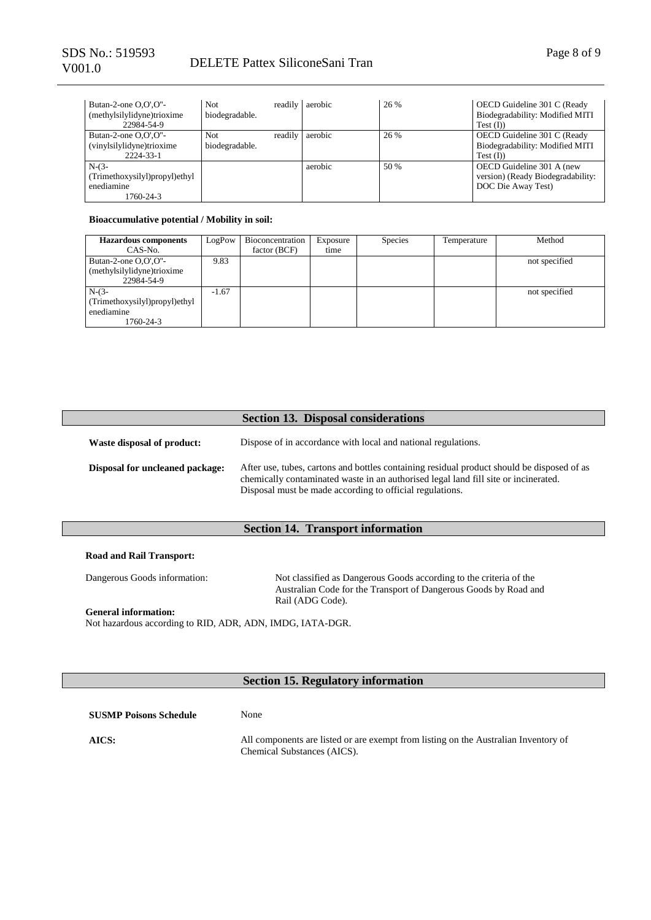| Butan-2-one $O.O'.O''-$<br>(methylsilylidyne)trioxime<br>22984-54-9 | Not.<br>biodegradable. | readily aerobic | 26 % | OECD Guideline 301 C (Ready<br>Biodegradability: Modified MITI<br>$Test$ (I))        |
|---------------------------------------------------------------------|------------------------|-----------------|------|--------------------------------------------------------------------------------------|
| Butan-2-one $O.O'.O''-$<br>(vinylsilylidyne)trioxime<br>2224-33-1   | Not<br>biodegradable.  | readily aerobic | 26 % | OECD Guideline 301 C (Ready<br>Biodegradability: Modified MITI<br>$Test$ (I)         |
| $N-(3-$<br>(Trimethoxysilyl)propyl)ethyl<br>enediamine<br>1760-24-3 |                        | aerobic         | 50 % | OECD Guideline 301 A (new<br>version) (Ready Biodegradability:<br>DOC Die Away Test) |

#### **Bioaccumulative potential / Mobility in soil:**

| <b>Hazardous</b> components                                         | LogPow  | Bioconcentration | Exposure | <b>Species</b> | Temperature | Method        |
|---------------------------------------------------------------------|---------|------------------|----------|----------------|-------------|---------------|
| CAS-No.                                                             |         | factor (BCF)     | time     |                |             |               |
| Butan-2-one $O.O'.O''-$<br>(methylsilylidyne)trioxime<br>22984-54-9 | 9.83    |                  |          |                |             | not specified |
| $N-(3-$<br>(Trimethoxysilyl)propyl)ethyl<br>enediamine<br>1760-24-3 | $-1.67$ |                  |          |                |             | not specified |

|                                        | <b>Section 13. Disposal considerations</b>                                                                                                                                                                                                    |
|----------------------------------------|-----------------------------------------------------------------------------------------------------------------------------------------------------------------------------------------------------------------------------------------------|
| Waste disposal of product:             | Dispose of in accordance with local and national regulations.                                                                                                                                                                                 |
| <b>Disposal for uncleaned package:</b> | After use, tubes, cartons and bottles containing residual product should be disposed of as<br>chemically contaminated waste in an authorised legal land fill site or incinerated.<br>Disposal must be made according to official regulations. |

#### **Section 14. Transport information**

#### **Road and Rail Transport:**

Dangerous Goods information: Not classified as Dangerous Goods according to the criteria of the Australian Code for the Transport of Dangerous Goods by Road and Rail (ADG Code).

**General information:** Not hazardous according to RID, ADR, ADN, IMDG, IATA-DGR.

### **Section 15. Regulatory information**

| <b>SUSMP Poisons Schedule</b> | None                                                                                                               |
|-------------------------------|--------------------------------------------------------------------------------------------------------------------|
| AICS:                         | All components are listed or are exempt from listing on the Australian Inventory of<br>Chemical Substances (AICS). |